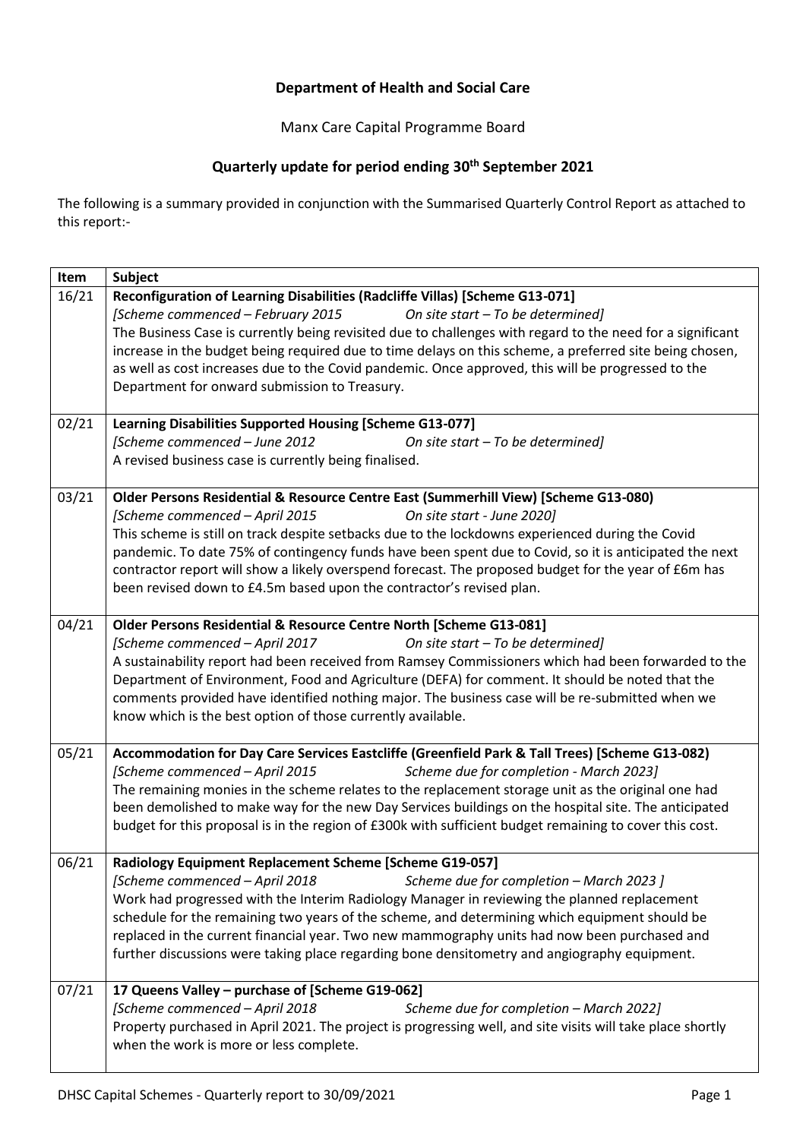## **Department of Health and Social Care**

Manx Care Capital Programme Board

## **Quarterly update for period ending 30th September 2021**

The following is a summary provided in conjunction with the Summarised Quarterly Control Report as attached to this report:-

| Item  | Subject                                                                                                                                                                                                                                                                                                                                                                                                                                                                                                                                           |
|-------|---------------------------------------------------------------------------------------------------------------------------------------------------------------------------------------------------------------------------------------------------------------------------------------------------------------------------------------------------------------------------------------------------------------------------------------------------------------------------------------------------------------------------------------------------|
| 16/21 | Reconfiguration of Learning Disabilities (Radcliffe Villas) [Scheme G13-071]<br>[Scheme commenced – February 2015<br>On site start - To be determined]<br>The Business Case is currently being revisited due to challenges with regard to the need for a significant<br>increase in the budget being required due to time delays on this scheme, a preferred site being chosen,<br>as well as cost increases due to the Covid pandemic. Once approved, this will be progressed to the<br>Department for onward submission to Treasury.            |
| 02/21 | <b>Learning Disabilities Supported Housing [Scheme G13-077]</b><br>[Scheme commenced - June 2012<br>On site start - To be determined]<br>A revised business case is currently being finalised.                                                                                                                                                                                                                                                                                                                                                    |
| 03/21 | Older Persons Residential & Resource Centre East (Summerhill View) [Scheme G13-080)<br>[Scheme commenced - April 2015<br>On site start - June 2020]<br>This scheme is still on track despite setbacks due to the lockdowns experienced during the Covid<br>pandemic. To date 75% of contingency funds have been spent due to Covid, so it is anticipated the next<br>contractor report will show a likely overspend forecast. The proposed budget for the year of £6m has<br>been revised down to £4.5m based upon the contractor's revised plan. |
| 04/21 | Older Persons Residential & Resource Centre North [Scheme G13-081]<br>[Scheme commenced - April 2017<br>On site start - To be determined]<br>A sustainability report had been received from Ramsey Commissioners which had been forwarded to the<br>Department of Environment, Food and Agriculture (DEFA) for comment. It should be noted that the<br>comments provided have identified nothing major. The business case will be re-submitted when we<br>know which is the best option of those currently available.                             |
| 05/21 | Accommodation for Day Care Services Eastcliffe (Greenfield Park & Tall Trees) [Scheme G13-082)<br>Scheme due for completion - March 2023]<br>[Scheme commenced - April 2015<br>The remaining monies in the scheme relates to the replacement storage unit as the original one had<br>been demolished to make way for the new Day Services buildings on the hospital site. The anticipated<br>budget for this proposal is in the region of £300k with sufficient budget remaining to cover this cost.                                              |
| 06/21 | Radiology Equipment Replacement Scheme [Scheme G19-057]<br>Scheme due for completion - March 2023 ]<br>[Scheme commenced - April 2018<br>Work had progressed with the Interim Radiology Manager in reviewing the planned replacement<br>schedule for the remaining two years of the scheme, and determining which equipment should be<br>replaced in the current financial year. Two new mammography units had now been purchased and<br>further discussions were taking place regarding bone densitometry and angiography equipment.             |
| 07/21 | 17 Queens Valley - purchase of [Scheme G19-062]<br>[Scheme commenced - April 2018<br>Scheme due for completion - March 2022]<br>Property purchased in April 2021. The project is progressing well, and site visits will take place shortly<br>when the work is more or less complete.                                                                                                                                                                                                                                                             |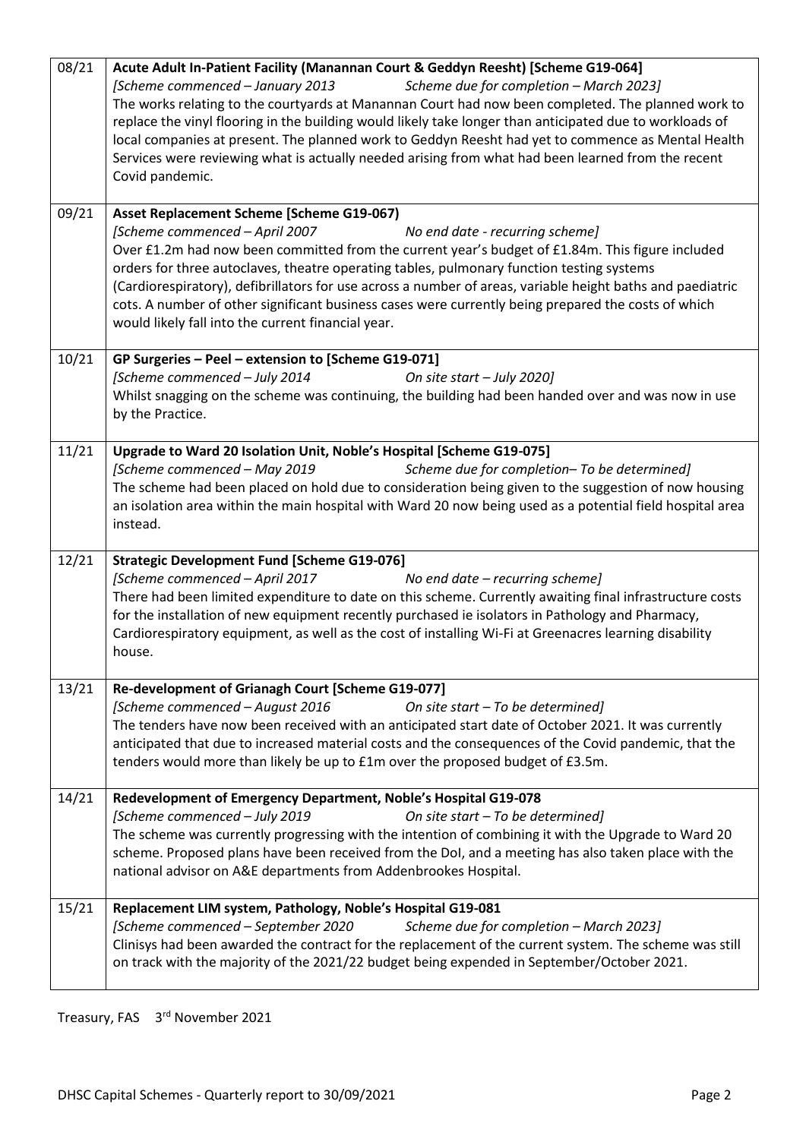| 08/21 | Acute Adult In-Patient Facility (Manannan Court & Geddyn Reesht) [Scheme G19-064]<br>Scheme due for completion - March 2023]<br>[Scheme commenced - January 2013<br>The works relating to the courtyards at Manannan Court had now been completed. The planned work to<br>replace the vinyl flooring in the building would likely take longer than anticipated due to workloads of<br>local companies at present. The planned work to Geddyn Reesht had yet to commence as Mental Health<br>Services were reviewing what is actually needed arising from what had been learned from the recent<br>Covid pandemic. |  |  |  |  |  |  |  |  |
|-------|-------------------------------------------------------------------------------------------------------------------------------------------------------------------------------------------------------------------------------------------------------------------------------------------------------------------------------------------------------------------------------------------------------------------------------------------------------------------------------------------------------------------------------------------------------------------------------------------------------------------|--|--|--|--|--|--|--|--|
| 09/21 | Asset Replacement Scheme [Scheme G19-067]<br>[Scheme commenced - April 2007<br>No end date - recurring scheme]<br>Over £1.2m had now been committed from the current year's budget of £1.84m. This figure included<br>orders for three autoclaves, theatre operating tables, pulmonary function testing systems<br>(Cardiorespiratory), defibrillators for use across a number of areas, variable height baths and paediatric<br>cots. A number of other significant business cases were currently being prepared the costs of which<br>would likely fall into the current financial year.                        |  |  |  |  |  |  |  |  |
| 10/21 | GP Surgeries - Peel - extension to [Scheme G19-071]<br>[Scheme commenced - July 2014<br>On site start - July 2020]<br>Whilst snagging on the scheme was continuing, the building had been handed over and was now in use<br>by the Practice.                                                                                                                                                                                                                                                                                                                                                                      |  |  |  |  |  |  |  |  |
| 11/21 | Upgrade to Ward 20 Isolation Unit, Noble's Hospital [Scheme G19-075]<br>[Scheme commenced - May 2019<br>Scheme due for completion- To be determined]<br>The scheme had been placed on hold due to consideration being given to the suggestion of now housing<br>an isolation area within the main hospital with Ward 20 now being used as a potential field hospital area<br>instead.                                                                                                                                                                                                                             |  |  |  |  |  |  |  |  |
| 12/21 | <b>Strategic Development Fund [Scheme G19-076]</b><br>[Scheme commenced - April 2017<br>No end date – recurring scheme]<br>There had been limited expenditure to date on this scheme. Currently awaiting final infrastructure costs<br>for the installation of new equipment recently purchased ie isolators in Pathology and Pharmacy,<br>Cardiorespiratory equipment, as well as the cost of installing Wi-Fi at Greenacres learning disability<br>house.                                                                                                                                                       |  |  |  |  |  |  |  |  |
| 13/21 | Re-development of Grianagh Court [Scheme G19-077]<br>[Scheme commenced - August 2016<br>On site start - To be determined]<br>The tenders have now been received with an anticipated start date of October 2021. It was currently<br>anticipated that due to increased material costs and the consequences of the Covid pandemic, that the<br>tenders would more than likely be up to £1m over the proposed budget of £3.5m.                                                                                                                                                                                       |  |  |  |  |  |  |  |  |
| 14/21 | Redevelopment of Emergency Department, Noble's Hospital G19-078<br>[Scheme commenced - July 2019<br>On site start - To be determined]<br>The scheme was currently progressing with the intention of combining it with the Upgrade to Ward 20<br>scheme. Proposed plans have been received from the DoI, and a meeting has also taken place with the<br>national advisor on A&E departments from Addenbrookes Hospital.                                                                                                                                                                                            |  |  |  |  |  |  |  |  |
| 15/21 | Replacement LIM system, Pathology, Noble's Hospital G19-081<br>[Scheme commenced – September 2020<br>Scheme due for completion - March 2023]<br>Clinisys had been awarded the contract for the replacement of the current system. The scheme was still<br>on track with the majority of the 2021/22 budget being expended in September/October 2021.                                                                                                                                                                                                                                                              |  |  |  |  |  |  |  |  |

Treasury, FAS 3<sup>rd</sup> November 2021